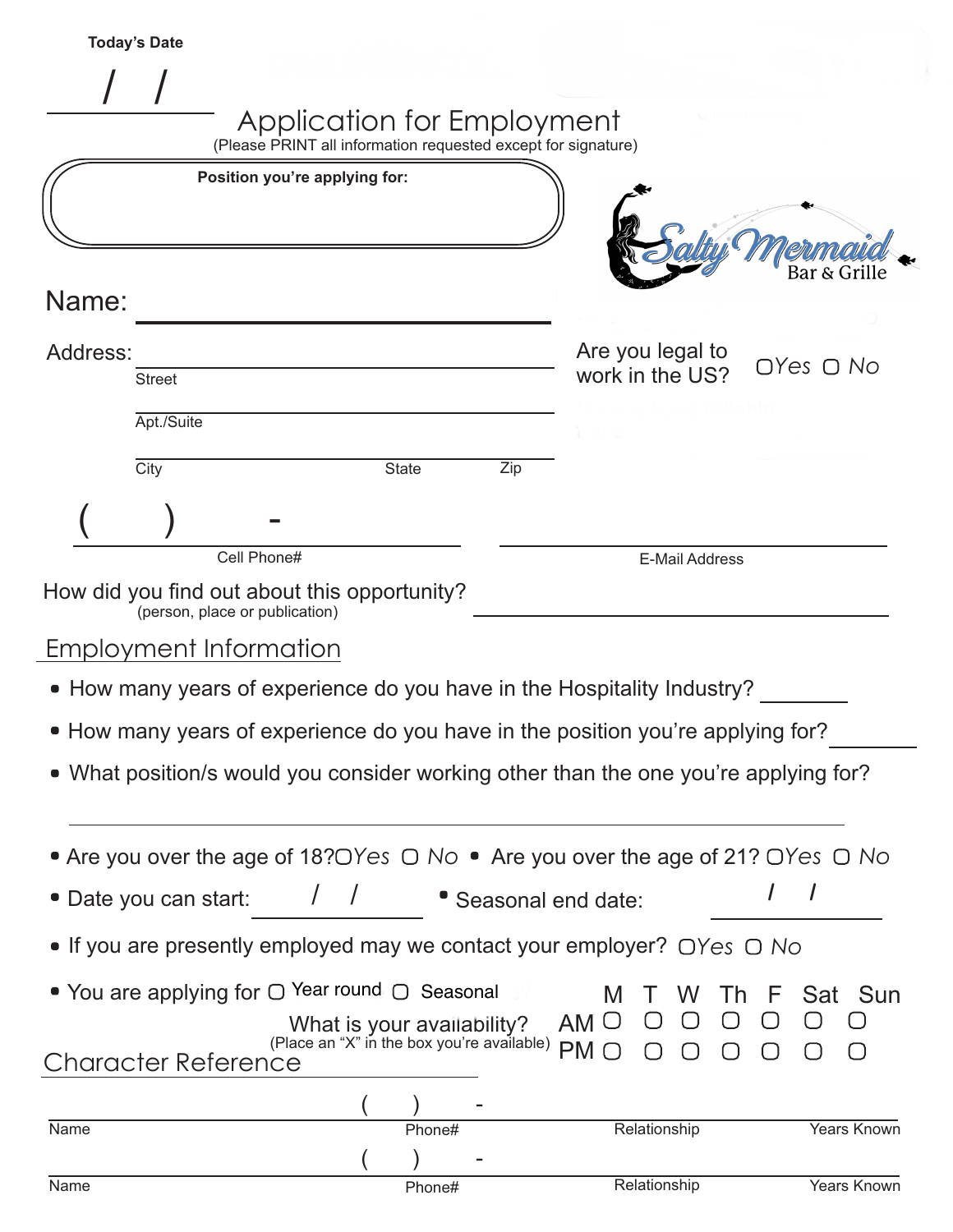|                       | <b>Today's Date</b> |            |                                                                                                   |                                                                          |     |                           |                                     |                 |             |
|-----------------------|---------------------|------------|---------------------------------------------------------------------------------------------------|--------------------------------------------------------------------------|-----|---------------------------|-------------------------------------|-----------------|-------------|
|                       |                     |            |                                                                                                   |                                                                          |     |                           |                                     |                 |             |
|                       |                     |            | Application for Employment<br>(Please PRINT all information requested except for signature)       |                                                                          |     |                           |                                     |                 |             |
|                       |                     |            | Position you're applying for:                                                                     |                                                                          |     |                           |                                     |                 |             |
|                       |                     |            |                                                                                                   |                                                                          |     |                           |                                     |                 |             |
|                       |                     |            |                                                                                                   |                                                                          |     |                           |                                     |                 |             |
| Name:                 |                     |            |                                                                                                   |                                                                          |     |                           |                                     | Bar & Grille    |             |
|                       |                     |            |                                                                                                   |                                                                          |     |                           |                                     |                 |             |
| Address:              | <b>Street</b>       |            |                                                                                                   |                                                                          |     |                           | Are you legal to<br>work in the US? | $OYes$ $O$ $No$ |             |
|                       |                     | Apt./Suite |                                                                                                   |                                                                          |     |                           |                                     |                 |             |
|                       | City                |            |                                                                                                   | <b>State</b>                                                             | Zip |                           |                                     |                 |             |
|                       |                     |            |                                                                                                   |                                                                          |     |                           |                                     |                 |             |
|                       |                     |            |                                                                                                   |                                                                          |     |                           |                                     |                 |             |
|                       |                     |            | Cell Phone#                                                                                       |                                                                          |     |                           | E-Mail Address                      |                 |             |
|                       |                     |            | How did you find out about this opportunity?<br>(person, place or publication)                    |                                                                          |     |                           |                                     |                 |             |
|                       |                     |            | Employment Information                                                                            |                                                                          |     |                           |                                     |                 |             |
|                       |                     |            | • How many years of experience do you have in the Hospitality Industry?                           |                                                                          |     |                           |                                     |                 |             |
|                       |                     |            | • How many years of experience do you have in the position you're applying for?                   |                                                                          |     |                           |                                     |                 |             |
|                       |                     |            | • What position/s would you consider working other than the one you're applying for?              |                                                                          |     |                           |                                     |                 |             |
|                       |                     |            |                                                                                                   |                                                                          |     |                           |                                     |                 |             |
|                       |                     |            | • Are you over the age of 18? OYes $\bigcirc$ No • Are you over the age of 21? OYes $\bigcirc$ No |                                                                          |     |                           |                                     |                 |             |
| • Date you can start: |                     |            |                                                                                                   |                                                                          |     | <b>Seasonal end date:</b> |                                     |                 |             |
|                       |                     |            | • If you are presently employed may we contact your employer? $\bigcirc$ Yes $\bigcirc$ No        |                                                                          |     |                           |                                     |                 |             |
|                       |                     |            |                                                                                                   |                                                                          |     |                           |                                     |                 |             |
|                       |                     |            | ● You are applying for $\bigcirc$ Year round $\bigcirc$ Seasonal                                  |                                                                          |     | M                         | I h                                 |                 | Sat Sun     |
|                       |                     |            |                                                                                                   | What is your availability?<br>(Place an "X" in the box you're available) |     | AM $\cup$<br>PMO          |                                     |                 |             |
|                       |                     |            | <b>Character Reference</b>                                                                        |                                                                          |     |                           |                                     |                 |             |
| <b>Name</b>           |                     |            |                                                                                                   | Phone#                                                                   |     |                           | Relationship                        |                 | Years Known |
|                       |                     |            |                                                                                                   |                                                                          |     |                           |                                     |                 |             |
| Name                  |                     |            |                                                                                                   | Phone#                                                                   |     |                           | Relationship                        |                 | Years Known |